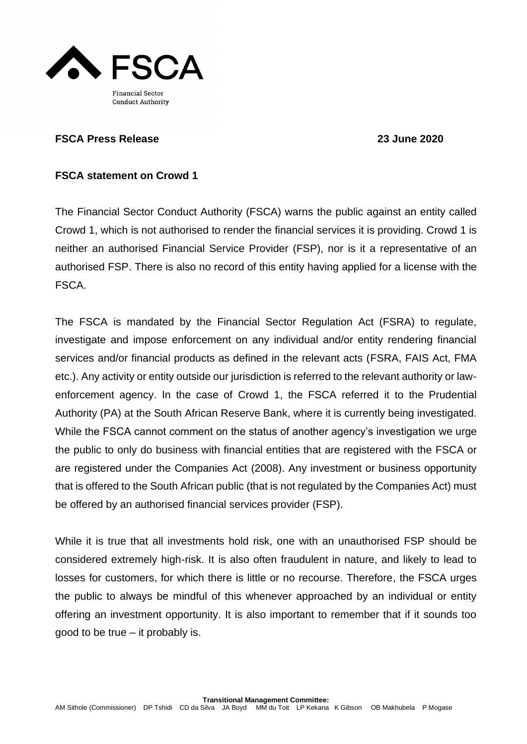

## **FSCA Press Release 23 June 2020**

## **FSCA statement on Crowd 1**

The Financial Sector Conduct Authority (FSCA) warns the public against an entity called Crowd 1, which is not authorised to render the financial services it is providing. Crowd 1 is neither an authorised Financial Service Provider (FSP), nor is it a representative of an authorised FSP. There is also no record of this entity having applied for a license with the FSCA.

The FSCA is mandated by the Financial Sector Regulation Act (FSRA) to regulate, investigate and impose enforcement on any individual and/or entity rendering financial services and/or financial products as defined in the relevant acts (FSRA, FAIS Act, FMA etc.). Any activity or entity outside our jurisdiction is referred to the relevant authority or lawenforcement agency. In the case of Crowd 1, the FSCA referred it to the Prudential Authority (PA) at the South African Reserve Bank, where it is currently being investigated. While the FSCA cannot comment on the status of another agency's investigation we urge the public to only do business with financial entities that are registered with the FSCA or are registered under the Companies Act (2008). Any investment or business opportunity that is offered to the South African public (that is not regulated by the Companies Act) must be offered by an authorised financial services provider (FSP).

While it is true that all investments hold risk, one with an unauthorised FSP should be considered extremely high-risk. It is also often fraudulent in nature, and likely to lead to losses for customers, for which there is little or no recourse. Therefore, the FSCA urges the public to always be mindful of this whenever approached by an individual or entity offering an investment opportunity. It is also important to remember that if it sounds too good to be true – it probably is.